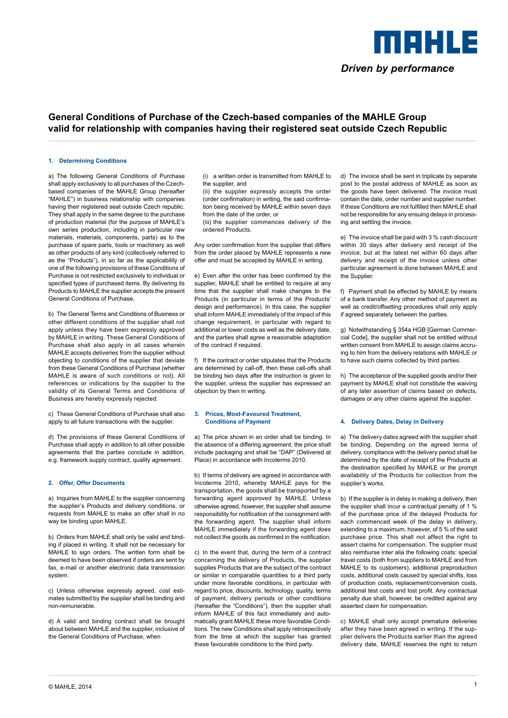

# **General Conditions of Purchase of the Czech-based companies of the MAHLE Group valid for relationship with companies having their registered seat outside Czech Republic**

#### **1. Determining Conditions**

a) The following General Conditions of Purchase shall apply exclusively to all purchases of the Czechbased companies of the MAHLE Group (hereafter "MAHLE") in business relationship with companies having their registered seat outside Czech republic. They shall apply in the same degree to the purchase of production material (for the purpose of MAHLE's own series production, including in particular raw materials, materials, components, parts) as to the purchase of spare parts, tools or machinery as well as other products of any kind (collectively referred to as the "Products"), in so far as the applicability of one of the following provisions of these Conditions of Purchase is not restricted exclusively to individual or specified types of purchased items. By delivering its Products to MAHLE the supplier accepts the present General Conditions of Purchase.

b) The General Terms and Conditions of Business or other different conditions of the supplier shall not apply unless they have been expressly approved by MAHLE in writing. These General Conditions of Purchase shall also apply in all cases wherein MAHLE accepts deliveries from the supplier without objecting to conditions of the supplier that deviate from these General Conditions of Purchase (whether MAHLE is aware of such conditions or not). All references or indications by the supplier to the validity of its General Terms and Conditions of Business are hereby expressly rejected.

c) These General Conditions of Purchase shall also apply to all future transactions with the supplier.

d) The provisions of these General Conditions of Purchase shall apply in addition to all other possible agreements that the parties conclude in addition, e.g. framework supply contract, quality agreement.

#### **2. Offer, Offer Documents**

a) Inquiries from MAHLE to the supplier concerning the supplier's Products and delivery conditions, or requests from MAHLE to make an offer shall in no way be binding upon MAHLE.

b) Orders from MAHLE shall only be valid and binding if placed in writing. It shall not be necessary for MAHLE to sign orders. The written form shall be deemed to have been observed if orders are sent by fax, e-mail or another electronic data transmission system.

c) Unless otherwise expressly agreed, cost estimates submitted by the supplier shall be binding and non-remunerable.

d) A valid and binding contract shall be brought about between MAHLE and the supplier, inclusive of the General Conditions of Purchase, when

 (i) a written order is transmitted from MAHLE to the supplier, and

 (ii) the supplier expressly accepts the order (order confirmation) in writing, the said confirmation being received by MAHLE within seven days from the date of the order, or

 (iii) the supplier commences delivery of the ordered Products.

Any order confirmation from the supplier that differs from the order placed by MAHLE represents a new offer and must be accepted by MAHLE in writing.

e) Even after the order has been confirmed by the supplier, MAHLE shall be entitled to require at any time that the supplier shall make changes to the Products (in particular in terms of the Products' design and performance). In this case, the supplier shall inform MAHLE immediately of the impact of this change requirement, in particular with regard to additional or lower costs as well as the delivery date, and the parties shall agree a reasonable adaptation of the contract if required.

f) If the contract or order stipulates that the Products are determined by call-off, then these call-offs shall be binding two days after the instruction is given to the supplier, unless the supplier has expressed an objection by then in writing.

#### **3. Prices, Most-Favoured Treatment, Conditions of Payment**

a) The price shown in an order shall be binding. In the absence of a differing agreement, the price shall include packaging and shall be "DAP" (Delivered at Place) in accordance with Incoterms 2010.

b) If terms of delivery are agreed in accordance with Incoterms 2010, whereby MAHLE pays for the transportation, the goods shall be transported by a forwarding agent approved by MAHLE. Unless otherwise agreed, however, the supplier shall assume responsibility for notification of the consignment with the forwarding agent. The supplier shall inform MAHLE immediately if the forwarding agent does not collect the goods as confirmed in the notification.

c) In the event that, during the term of a contract concerning the delivery of Products, the supplier supplies Products that are the subject of the contract or similar in comparable quantities to a third party under more favorable conditions, in particular with regard to price, discounts, technology, quality, terms of payment, delivery periods or other conditions (hereafter the "Conditions"), then the supplier shall inform MAHLE of this fact immediately and automatically grant MAHLE these more favorable Conditions. The new Conditions shall apply retrospectively from the time at which the supplier has granted these favourable conditions to the third party.

d) The invoice shall be sent in triplicate by separate post to the postal address of MAHLE as soon as the goods have been delivered. The invoice must contain the date, order number and supplier number. If these Conditions are not fulfilled then MAHLE shall not be responsible for any ensuing delays in processing and settling the invoice.

e) The invoice shall be paid with 3 % cash discount within 30 days after delivery and receipt of the invoice, but at the latest net within 60 days after delivery and receipt of the invoice unless other particular agreement is done between MAHLE and the Supplier.

f) Payment shall be effected by MAHLE by means of a bank transfer. Any other method of payment as well as credit/offsetting procedures shall only apply if agreed separately between the parties.

g) Notwithstanding § 354a HGB [German Commercial Code], the supplier shall not be entitled without written consent from MAHLE to assign claims accruing to him from the delivery relations with MAHLE or to have such claims collected by third parties.

h) The acceptance of the supplied goods and/or their payment by MAHLE shall not constitute the waiving of any later assertion of claims based on defects, damages or any other claims against the supplier.

## **4. Delivery Dates, Delay in Delivery**

a) The delivery dates agreed with the supplier shall be binding. Depending on the agreed terms of delivery, compliance with the delivery period shall be determined by the date of receipt of the Products at the destination specified by MAHLE or the prompt availability of the Products for collection from the supplier's works.

b) If the supplier is in delay in making a delivery, then the supplier shall incur a contractual penalty of 1 % of the purchase price of the delayed Products for each commenced week of the delay in delivery, extending to a maximum, however, of 5 % of the said purchase price. This shall not affect the right to assert claims for compensation. The supplier must also reimburse inter alia the following costs: special travel costs (both from suppliers to MAHLE and from MAHLE to its customers), additional preproduction costs, additional costs caused by special shifts, loss of production costs, replacement/conversion costs, additional test costs and lost profit. Any contractual penalty due shall, however, be credited against any asserted claim for compensation.

c) MAHLE shall only accept premature deliveries after they have been agreed in writing. If the supplier delivers the Products earlier than the agreed delivery date, MAHLE reserves the right to return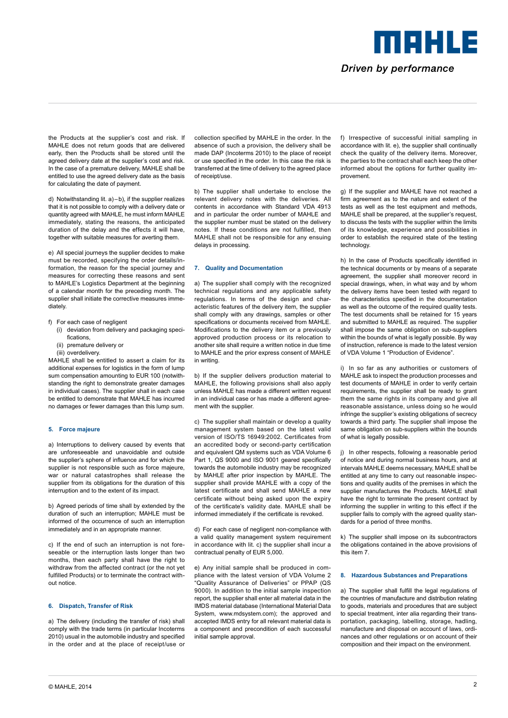Driven by performance

MOHLE

the Products at the supplier's cost and risk. If MAHLE does not return goods that are delivered early, then the Products shall be stored until the agreed delivery date at the supplier's cost and risk. In the case of a premature delivery, MAHLE shall be entitled to use the agreed delivery date as the basis for calculating the date of payment.

d) Notwithstanding lit. a)–b), if the supplier realizes that it is not possible to comply with a delivery date or quantity agreed with MAHLE, he must inform MAHLE immediately, stating the reasons, the anticipated duration of the delay and the effects it will have, together with suitable measures for averting them.

e) All special journeys the supplier decides to make must be recorded, specifying the order details/information, the reason for the special journey and measures for correcting these reasons and sent to MAHLE's Logistics Department at the beginning of a calendar month for the preceding month. The supplier shall initiate the corrective measures immediately.

- f) For each case of negligent
	- (i) deviation from delivery and packaging specifications,
	- (ii) premature delivery or
	- (iii) overdelivery.

MAHLE shall be entitled to assert a claim for its additional expenses for logistics in the form of lump sum compensation amounting to EUR 100 (notwithstanding the right to demonstrate greater damages in individual cases). The supplier shall in each case be entitled to demonstrate that MAHLE has incurred no damages or fewer damages than this lump sum.

#### **5. Force majeure**

a) Interruptions to delivery caused by events that are unforeseeable and unavoidable and outside the supplier's sphere of influence and for which the supplier is not responsible such as force majeure, war or natural catastrophes shall release the supplier from its obligations for the duration of this interruption and to the extent of its impact.

b) Agreed periods of time shall by extended by the duration of such an interruption; MAHLE must be informed of the occurrence of such an interruption immediately and in an appropriate manner.

c) If the end of such an interruption is not foreseeable or the interruption lasts longer than two months, then each party shall have the right to withdraw from the affected contract (or the not yet fulfilled Products) or to terminate the contract without notice.

### **6. Dispatch, Transfer of Risk**

a) The delivery (including the transfer of risk) shall comply with the trade terms (in particular Incoterms 2010) usual in the automobile industry and specified in the order and at the place of receipt/use or

collection specified by MAHLE in the order. In the absence of such a provision, the delivery shall be made DAP (Incoterms 2010) to the place of receipt or use specified in the order. In this case the risk is transferred at the time of delivery to the agreed place of receipt/use.

b) The supplier shall undertake to enclose the relevant delivery notes with the deliveries. All contents in accordance with Standard VDA 4913 and in particular the order number of MAHLE and the supplier number must be stated on the delivery notes. If these conditions are not fulfilled, then MAHLE shall not be responsible for any ensuing delays in processing.

#### **7. Quality and Documentation**

a) The supplier shall comply with the recognized technical regulations and any applicable safety regulations. In terms of the design and characteristic features of the delivery item, the supplier shall comply with any drawings, samples or other specifications or documents received from MAHLE. Modifications to the delivery item or a previously approved production process or its relocation to another site shall require a written notice in due time to MAHLE and the prior express consent of MAHLE in writing.

b) If the supplier delivers production material to MAHLE, the following provisions shall also apply unless MAHLE has made a different written request in an individual case or has made a different agreement with the supplier.

c) The supplier shall maintain or develop a quality management system based on the latest valid version of ISO/TS 16949:2002. Certificates from an accredited body or second-party certification and equivalent QM systems such as VDA Volume 6 Part 1, QS 9000 and ISO 9001 geared specifically towards the automobile industry may be recognized by MAHLE after prior inspection by MAHLE. The supplier shall provide MAHLE with a copy of the latest certificate and shall send MAHLE a new certificate without being asked upon the expiry of the certificate's validity date. MAHLE shall be informed immediately if the certificate is revoked.

d) For each case of negligent non-compliance with a valid quality management system requirement in accordance with lit. c) the supplier shall incur a contractual penalty of EUR 5,000.

e) Any initial sample shall be produced in compliance with the latest version of VDA Volume 2 "Quality Assurance of Deliveries" or PPAP (QS 9000). In addition to the initial sample inspection report, the supplier shall enter all material data in the IMDS material database (International Material Data System, www.mdsystem.com); the approved and accepted IMDS entry for all relevant material data is a component and precondition of each successful initial sample approval.

f) Irrespective of successful initial sampling in accordance with lit. e), the supplier shall continually check the quality of the delivery items. Moreover, the parties to the contract shall each keep the other informed about the options for further quality improvement.

g) If the supplier and MAHLE have not reached a firm agreement as to the nature and extent of the tests as well as the test equipment and methods, MAHLE shall be prepared, at the supplier's request, to discuss the tests with the supplier within the limits of its knowledge, experience and possibilities in order to establish the required state of the testing technology.

h) In the case of Products specifically identified in the technical documents or by means of a separate agreement, the supplier shall moreover record in special drawings, when, in what way and by whom the delivery items have been tested with regard to the characteristics specified in the documentation as well as the outcome of the required quality tests. The test documents shall be retained for 15 years and submitted to MAHLE as required. The supplier shall impose the same obligation on sub-suppliers within the bounds of what is legally possible. By way of instruction, reference is made to the latest version of VDA Volume 1 "Production of Evidence".

i) In so far as any authorities or customers of MAHLE ask to inspect the production processes and test documents of MAHLE in order to verify certain requirements, the supplier shall be ready to grant them the same rights in its company and give all reasonable assistance, unless doing so he would infringe the supplier's existing obligations of secrecy towards a third party. The supplier shall impose the same obligation on sub-suppliers within the bounds of what is legally possible.

j) In other respects, following a reasonable period of notice and during normal business hours, and at intervals MAHLE deems necessary, MAHLE shall be entitled at any time to carry out reasonable inspections and quality audits of the premises in which the supplier manufactures the Products. MAHLE shall have the right to terminate the present contract by informing the supplier in writing to this effect if the supplier fails to comply with the agreed quality standards for a period of three months.

k) The supplier shall impose on its subcontractors the obligations contained in the above provisions of this item 7.

# **8. Hazardous Substances and Preparations**

a) The supplier shall fulfill the legal regulations of the countries of manufacture and distribution relating to goods, materials and procedures that are subject to special treatment, inter alia regarding their transportation, packaging, labelling, storage, hadling, manufacture and disposal on account of laws, ordinances and other regulations or on account of their composition and their impact on the environment.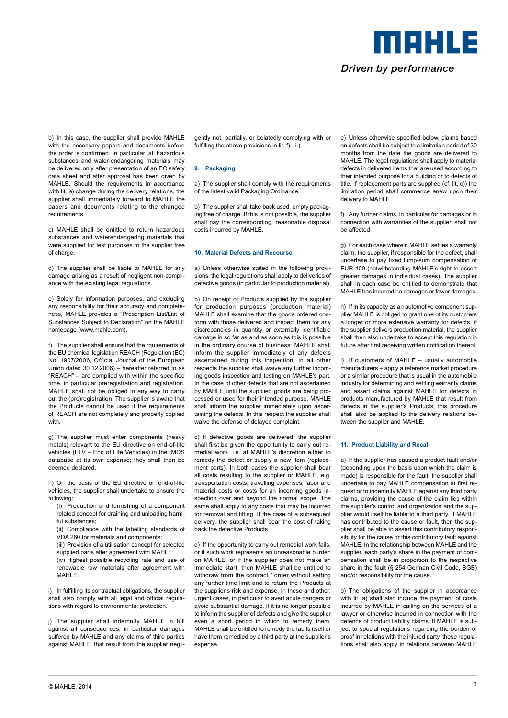Driven by performance

meers e

b) In this case, the supplier shall provide MAHLE with the necessary papers and documents before the order is confirmed. In particular, all hazardous substances and water-endangering materials may be delivered only after presentation of an EC safety data sheet and after approval has been given by MAHLE. Should the requirements in accordance with lit. a) change during the delivery relations, the supplier shall immediately forward to MAHLE the papers and documents relating to the changed requirements.

c) MAHLE shall be entitled to return hazardous substances and waterendangering materials that were supplied for test purposes to the supplier free of charge.

d) The supplier shall be liable to MAHLE for any damage arising as a result of negligent non-compliance with the existing legal regulations.

e) Solely for information purposes, and excluding any responsibility for their accuracy and completeness, MAHLE provides a "Prescription List/List of Substances Subject to Declaration" on the MAHLE homepage (www.mahle.com).

f) The supplier shall ensure that the rquirements of the EU chemical legislation REACH (Regulation (EC) No. 1907/2006, Official Journal of the European Union dated 30.12.2006) – hereafter referred to as "REACH" – are complied with within the specified time, in particular preregistration and registration. MAHLE shall not be obliged in any way to carry out the (pre)registration. The supplier is aware that the Products cannot be used if the requirements of REACH are not completely and properly coplied with.

g) The supplier must enter components (heavy metals) relevant to the EU directive on end-of-life vehicles (ELV – End of Life Vehicles) in the IMDS database at its own expense; they shall then be deemed declared.

h) On the basis of the EU directive on end-of-life vehicles, the supplier shall undertake to ensure the following:

- (i) Production and furnishing of a component related concept for draining and unloading harmful substances;
- (ii) Compliance with the labelling standards of VDA 260 for materials and components;
- (iii) Provision of a utilisation concept for selected
- supplied parts after agreement with MAHLE; (iv) Highest possible recycling rate and use of renewable raw materials after agreement with MAHLE.

i) In fulfilling its contractual obligations, the supplier shall also comply with all legal and official regulations with regard to environmental protection.

j) The supplier shall indemnify MAHLE in full against all consequences, in particular damages suffered by MAHLE and any claims of third parties against MAHLE, that result from the supplier negligently not, partially, or belatedly complying with or fulfilling the above provisions in lit. f) - i.).

# **9. Packaging**

a) The supplier shall comply with the requirements of the latest valid Packaging Ordinance.

b) The supplier shall take back used, empty packaging free of charge. If this is not possible, the supplier shall pay the corresponding, reasonable disposal costs incurred by MAHLE.

#### **10. Material Defects and Recourse**

a) Unless otherwise stated in the following provisions, the legal regulations shall apply to deliveries of defective goods (in particular to production material).

b) On receipt of Products supplied by the supplier for production purposes (production material) MAHLE shall examine that the goods ordered conform with those delivered and inspect them for any discrepancies in quantity or externally identifiable damage in so far as and as soon as this is possible in the ordinary course of business. MAHLE shall inform the supplier immediately of any defects ascertained during this inspection. In all other respects the supplier shall waive any further incoming goods inspection and testing on MAHLE's part. In the case of other defects that are not ascertained by MAHLE until the supplied goods are being processed or used for their intended purpose, MAHLE shall inform the supplier immediately upon ascertaining the defects. In this respect the supplier shall waive the defense of delayed complaint.

c) If defective goods are delivered, the supplier shall first be given the opportunity to carry out remedial work, i.e. at MAHLE's discretion either to remedy the defect or supply a new item (replacement parts). In both cases the supplier shall bear all costs resulting to the supplier or MAHLE, e.g. transportation costs, travelling expenses, labor and material costs or costs for an incoming goods inspection over and beyond the normal scope. The same shall apply to any costs that may be incurred for removal and fitting. If the case of a subsequent delivery, the supplier shall bear the cost of taking back the defective Products.

d) If the opportunity to carry out remedial work fails, or if such work represents an unreasonable burden on MAHLE, or if the supplier does not make an immediate start, then MAHLE shall be entitled to withdraw from the contract / order without setting any further time limit and to return the Products at the supplier's risk and expense. In these and other, urgent cases, in particular to avert acute dangers or avoid substantial damage, if it is no longer possible to inform the supplier of defects and give the supplier even a short period in which to remedy them, MAHLE shall be entitled to remedy the faults itself or have them remedied by a third party at the supplier's expense.

e) Unless otherwise specified below, claims based on defects shall be subject to a limitation period of 30 months from the date the goods are delivered to MAHLE. The legal regulations shall apply to material defects in delivered items that are used according to their intended purpose for a building or to defects of title. If replacement parts are supplied (cf. lit. c)) the limitation period shall commence anew upon their delivery to MAHLE.

f) Any further claims, in particular for damages or in connection with warranties of the supplier, shall not be affected.

g) For each case wherein MAHLE settles a warranty claim, the supplier, if responsible for the defect, shall undertake to pay fixed lump-sum compensation of EUR 100 (notwithstanding MAHLE's right to assert greater damages in individual cases). The supplier shall in each case be entitled to demonstrate that MAHLE has incurred no damages or fewer damages.

h) If in its capacity as an automotive component supplier MAHLE is obliged to grant one of its customers a longer or more extensive warranty for defects, if the supplier delivers production material, the supplier shall then also undertake to accept this regulation in future after first receiving written notification thereof.

i) If customers of MAHLE – usually automobile manufacturers – apply a reference market procedure or a similar procedure that is usual in the automobile industry for determining and settling warranty claims and assert claims against MAHLE for defects in products manufactured by MAHLE that result from defects in the supplier's Products, this procedure shall also be applied to the delivery relations between the supplier and MAHLE.

# **11. Product Liability and Recall**

a) If the supplier has caused a product fault and/or (depending upon the basis upon which the claim is made) is responsible for the fault, the supplier shall undertake to pay MAHLE compensation at first request or to indemnify MAHLE against any third party claims, providing the cause of the claim lies within the supplier's control and organization and the supplier would itself be liable to a third party. If MAHLE has contributed to the cause or fault, then the supplier shall be able to assert this contributory responsibility for the cause or this contributory fault against MAHLE. In the relationship between MAHLE and the supplier, each party's share in the payment of compensation shall be in proportion to the respective share in the fault (§ 254 German Civil Code, BGB) and/or responsibility for the cause.

b) The obligations of the supplier in accordance with lit. a) shall also include the payment of costs incurred by MAHLE in calling on the services of a lawyer or otherwise incurred in connection with the defence of product liability claims. If MAHLE is subject to special regulations regarding the burden of proof in relations with the injured party, these regulations shall also apply in relations between MAHLE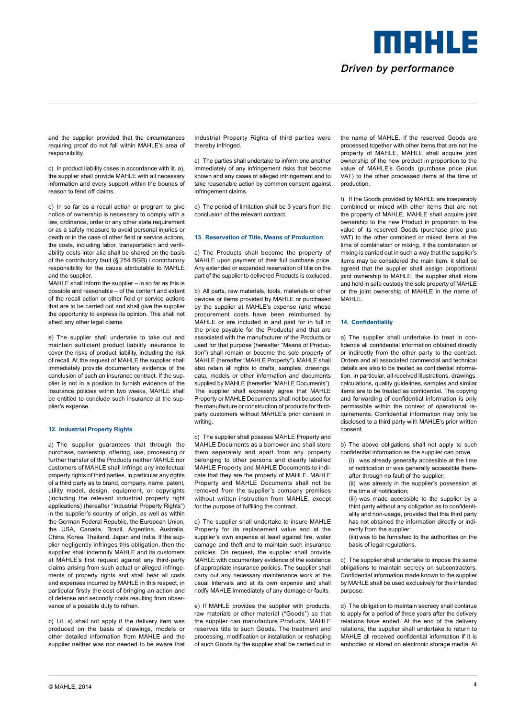Driven by performance

meers e

and the supplier provided that the circumstances requiring proof do not fall within MAHLE's area of responsibility.

c) In product liability cases in accordance with lit. a), the supplier shall provide MAHLE with all necessary information and every support within the bounds of reason to fend off claims.

d) In so far as a recall action or program to give notice of ownership is necessary to comply with a law, ordinance, order or any other state requirement or as a safety measure to avoid personal injuries or death or in the case of other field or service actions, the costs, including labor, transportation and verifiability costs inter alia shall be shared on the basis of the contributory fault (§ 254 BGB) / contributory responsibility for the cause attributable to MAHLE and the supplier.

MAHLE shall inform the supplier – in so far as this is possible and reasonable – of the content and extent of the recall action or other field or service actions that are to be carried out and shall give the supplier the opportunity to express its opinion. This shall not affect any other legal claims.

e) The supplier shall undertake to take out and maintain sufficient product liability insurance to cover the risks of product liability, including the risk of recall. At the request of MAHLE the supplier shall immediately provide documentary evidence of the conclusion of such an insurance contract. If the supplier is not in a position to furnish evidence of the insurance policies within two weeks, MAHLE shall be entitled to conclude such insurance at the supplier's expense.

## **12. Industrial Property Rights**

a) The supplier guarantees that through the purchase, ownership, offering, use, processing or further transfer of the Products neither MAHLE nor customers of MAHLE shall infringe any intellectual property rights of third parties, in particular any rights of a third party as to brand, company, name, patent, utility model, design, equipment, or copyrights (including the relevant industrial property right applications) (hereafter "Industrial Property Rights") in the supplier's country of origin, as well as within the German Federal Republic, the European Union, the USA, Canada, Brazil, Argentina, Australia, China, Korea, Thailand, Japan and India. If the supplier negligently infringes this obligation, then the supplier shall indemnify MAHLE and its customers at MAHLE's first request against any third-party claims arising from such actual or alleged infringements of property rights and shall bear all costs and expenses incurred by MAHLE in this respect, in particular firstly the cost of bringing an action and of defense and secondly costs resulting from observance of a possible duty to refrain.

b) Lit. a) shall not apply if the delivery item was produced on the basis of drawings, models or other detailed information from MAHLE and the supplier neither was nor needed to be aware that Industrial Property Rights of third parties were thereby infringed.

c) The parties shall undertake to inform one another immediately of any infringement risks that become known and any cases of alleged infringement and to take reasonable action by common consent against infringement claims.

d) The period of limitation shall be 3 years from the conclusion of the relevant contract.

# **13. Reservation of Title, Means of Production**

a) The Products shall become the property of MAHLE upon payment of their full purchase price. Any extended or expanded reservation of title on the part of the supplier to delivered Products is excluded.

b) All parts, raw materials, tools, materials or other devices or items provided by MAHLE or purchased by the supplier at MAHLE's expense (and whose procurement costs have been reimbursed by MAHLE or are included in and paid for in full in the price payable for the Products) and that are associated with the manufacturer of the Products or used for that purpose (hereafter "Means of Production") shall remain or become the sole property of MAHLE (hereafter "MAHLE Property"). MAHLE shall also retain all rights to drafts, samples, drawings, data, models or other information and documents supplied by MAHLE (hereafter "MAHLE Documents"). The supplier shall expressly agree that MAHLE Property or MAHLE Documents shall not be used for the manufacture or construction of products for thirdparty customers without MAHLE's prior consent in writing.

c) The supplier shall possess MAHLE Property and MAHLE Documents as a borrower and shall store them separately and apart from any property belonging to other persons and clearly labelled MAHLE Property and MAHLE Documents to indicate that they are the property of MAHLE. MAHLE Property and MAHLE Documents shall not be removed from the supplier's company premises without written instruction from MAHLE, except for the purpose of fulfilling the contract.

d) The supplier shall undertake to insure MAHLE Property for its replacement value and at the supplier's own expense at least against fire, water damage and theft and to maintain such insurance policies. On request, the supplier shall provide MAHLE with documentary evidence of the existence of appropriate insurance policies. The supplier shall carry out any necessary maintenance work at the usual intervals and at its own expense and shall notify MAHLE immediately of any damage or faults.

e) If MAHLE provides the supplier with products, raw materials or other material ("Goods") so that the supplier can manufacture Products, MAHLE reserves title to such Goods. The treatment and processing, modification or installation or reshaping of such Goods by the supplier shall be carried out in the name of MAHLE. If the reserved Goods are processed together with other items that are not the property of MAHLE, MAHLE shall acquire joint ownership of the new product in proportion to the value of MAHLE's Goods (purchase price plus VAT) to the other processed items at the time of production.

f) If the Goods provided by MAHLE are inseparably combined or mixed with other items that are not the property of MAHLE, MAHLE shall acquire joint ownership to the new Product in proportion to the value of its reserved Goods (purchase price plus VAT) to the other combined or mixed items at the time of combination or mixing. If the combination or mixing is carried out in such a way that the supplier's items may be considered the main item, it shall be agreed that the supplier shall assign proportional joint ownership to MAHLE; the supplier shall store and hold in safe custody the sole property of MAHLE or the joint ownership of MAHLE in the name of MAHLE.

# **14. Confidentiality**

a) The supplier shall undertake to treat in confidence all confidential information obtained directly or indirectly from the other party to the contract. Orders and all associated commercial and technical details are also to be treated as confidential information. In particular, all received illustrations, drawings, calculations, quality guidelines, samples and similar items are to be treated as confidential. The copying and forwarding of confidential information is only permissible within the context of operational requirements. Confidential information may only be disclosed to a third party with MAHLE's prior written consent.

b) The above obligations shall not apply to such confidential information as the supplier can prove

- (i) was already generally accessible at the time of notification or was generally accessible thereafter through no fault of the supplier;
- (ii) was already in the supplier's possession at the time of notification;

 (iii) was made accessible to the supplier by a third party without any obligation as to confidentiality and non-usage, provided that this third party has not obtained the information directly or indirectly from the supplier;

 (iiii) was to be furnished to the authorities on the basis of legal regulations.

c) The supplier shall undertake to impose the same obligations to maintain secrecy on subcontractors. Confidential information made known to the supplier by MAHLE shall be used exclusively for the intended purpose.

d) The obligation to maintain secrecy shall continue to apply for a period of three years after the delivery relations have ended. At the end of the delivery relations, the supplier shall undertake to return to MAHLE all received confidential information if it is embodied or stored on electronic storage media. At